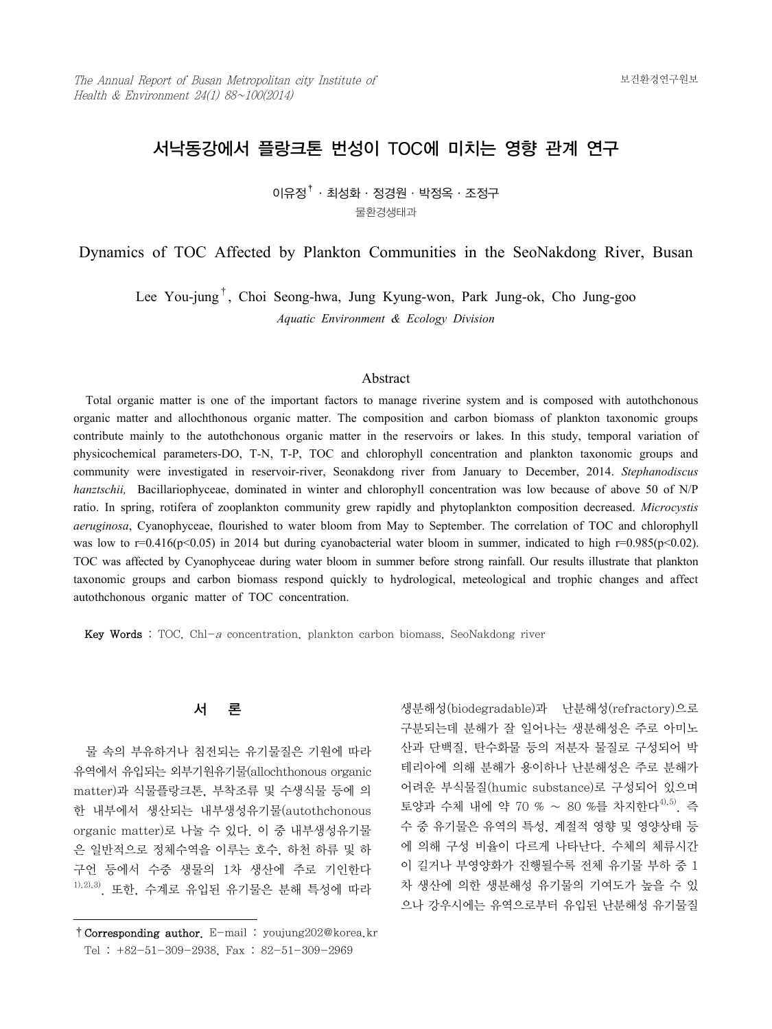# 서낙동강에서 플랑크톤 번성이 TOC에 미치는 영향 관계 연구

 $0$ 유정 $^{\dagger}$  · 최성화 · 정경원 · 박정옥 · 조정구 물환경생태과

Dynamics of TOC Affected by Plankton Communities in the SeoNakdong River, Busan

Lee You-jung†, Choi Seong-hwa, Jung Kyung-won, Park Jung-ok, Cho Jung-goo *Aquatic Environment & Ecology Division*

#### Abstract

 Total organic matter is one of the important factors to manage riverine system and is composed with autothchonous organic matter and allochthonous organic matter. The composition and carbon biomass of plankton taxonomic groups contribute mainly to the autothchonous organic matter in the reservoirs or lakes. In this study, temporal variation of physicochemical parameters-DO, T-N, T-P, TOC and chlorophyll concentration and plankton taxonomic groups and community were investigated in reservoir-river, Seonakdong river from January to December, 2014. *Stephanodiscus hanztschii*, Bacillariophyceae, dominated in winter and chlorophyll concentration was low because of above 50 of N/P ratio. In spring, rotifera of zooplankton community grew rapidly and phytoplankton composition decreased. *Microcystis aeruginosa*, Cyanophyceae, flourished to water bloom from May to September. The correlation of TOC and chlorophyll was low to r=0.416(p<0.05) in 2014 but during cyanobacterial water bloom in summer, indicated to high r=0.985(p<0.02). TOC was affected by Cyanophyceae during water bloom in summer before strong rainfall. Our results illustrate that plankton taxonomic groups and carbon biomass respond quickly to hydrological, meteological and trophic changes and affect autothchonous organic matter of TOC concentration.

**Key Words** : TOC, Chl-a concentration, plankton carbon biomass, SeoNakdong river

# 서 론

 물 속의 부유하거나 침전되는 유기물질은 기원에 따라 유역에서 유입되는 외부기원유기물(allochthonous organic matter)과 식물플랑크톤, 부착조류 및 수생식물 등에 의 한 내부에서 생산되는 내부생성유기물(autothchonous organic matter)로 나눌 수 있다. 이 중 내부생성유기물 은 일반적으로 정체수역을 이루는 호수, 하천 하류 및 하 구언 등에서 수중 생물의 1차 생산에 주로 기인한다  $1, 20, 3$ . 또한, 수계로 유입된 유기물은 분해 특성에 따라 생분해성(biodegradable)과 난분해성(refractory)으로 구분되는데 분해가 잘 일어나는 생분해성은 주로 아미노 산과 단백질, 탄수화물 등의 저분자 물질로 구성되어 박 테리아에 의해 분해가 용이하나 난분해성은 주로 분해가 어려운 부식물질(humic substance)로 구성되어 있으며 토양과 수체 내에 약 70 % ~ 80 %를 차지한다<sup>4),5)</sup>. 즉 수 중 유기물은 유역의 특성, 계절적 영향 및 영양상태 등 에 의해 구성 비율이 다르게 나타난다. 수체의 체류시간 이 길거나 부영양화가 진행될수록 전체 유기물 부하 중 1 차 생산에 의한 생분해성 유기물의 기여도가 높을 수 있 으나 강우시에는 유역으로부터 유입된 난분해성 유기물질

<sup>†</sup>Corresponding author. E-mail : youjung202@korea.kr Tel : +82-51-309-2938, Fax : 82-51-309-2969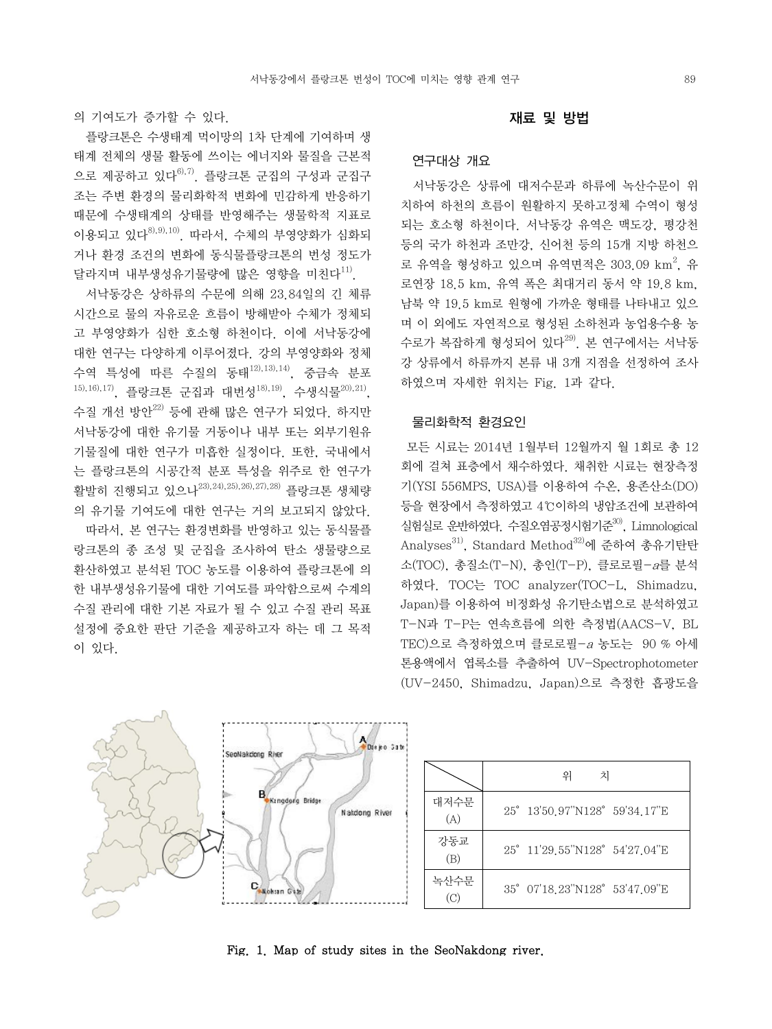의 기여도가 증가할 수 있다.

 플랑크톤은 수생태계 먹이망의 1차 단계에 기여하며 생 태계 전체의 생물 활동에 쓰이는 에너지와 물질을 근본적 으로 제공하고 있다<sup>6), 7</sup>. 플랑크톤 군집의 구성과 군집구 조는 주변 환경의 물리화학적 변화에 민감하게 반응하기 때문에 수생태계의 상태를 반영해주는 생물학적 지표로 이용되고 있다8),9),10). 따라서, 수체의 부영양화가 심화되 거나 환경 조건의 변화에 동식물플랑크톤의 번성 정도가 달라지며 내부생성유기물량에 많은 영향을 미친다<sup>11)</sup>.

 서낙동강은 상하류의 수문에 의해 23.84일의 긴 체류 시간으로 물의 자유로운 흐름이 방해받아 수체가 정체되 고 부영양화가 심한 호소형 하천이다. 이에 서낙동강에 대한 연구는 다양하게 이루어졌다. 강의 부영양화와 정체 수역 특성에 따른 수질의 동태12),13),14), 중금속 분포 15),16),17), 플랑크톤 군집과 대번성 $^{18)$ ,19), 수생식물 $^{20)$ ,21), 수질 개선 방안<sup>22)</sup> 등에 관해 많은 연구가 되었다. 하지만 서낙동강에 대한 유기물 거동이나 내부 또는 외부기원유 기물질에 대한 연구가 미흡한 실정이다. 또한, 국내에서 는 플랑크톤의 시공간적 분포 특성을 위주로 한 연구가 활발히 진행되고 있으나23),24),25),26),27),28) 플랑크톤 생체량 의 유기물 기여도에 대한 연구는 거의 보고되지 않았다.

 따라서, 본 연구는 환경변화를 반영하고 있는 동식물플 랑크톤의 종 조성 및 군집을 조사하여 탄소 생물량으로 환산하였고 분석된 TOC 농도를 이용하여 플랑크톤에 의 한 내부생성유기물에 대한 기여도를 파악함으로써 수계의 수질 관리에 대한 기본 자료가 될 수 있고 수질 관리 목표 설정에 중요한 판단 기준을 제공하고자 하는 데 그 목적 이 있다.

#### 재료 및 방법

#### 연구대상 개요

 서낙동강은 상류에 대저수문과 하류에 녹산수문이 위 치하여 하천의 흐름이 원활하지 못하고정체 수역이 형성 되는 호소형 하천이다. 서낙동강 유역은 맥도강, 평강천 등의 국가 하천과 조만강, 신어천 등의 15개 지방 하천으 로 유역을 형성하고 있으며 유역면적은 303.09  $\mathrm{km}^2$ , 유 로연장 18.5 km, 유역 폭은 최대거리 동서 약 19.8 km, 남북 약 19.5 km로 원형에 가까운 형태를 나타내고 있으 며 이 외에도 자연적으로 형성된 소하천과 농업용수용 농 수로가 복잡하게 형성되어 있다<sup>29)</sup>. 본 연구에서는 서낙동 강 상류에서 하류까지 본류 내 3개 지점을 선정하여 조사 하였으며 자세한 위치는 Fig. 1과 같다.

## 물리화학적 환경요인

 모든 시료는 2014년 1월부터 12월까지 월 1회로 총 12 회에 걸쳐 표층에서 채수하였다. 채취한 시료는 현장측정 기(YSI 556MPS, USA)를 이용하여 수온, 용존산소(DO) 등을 현장에서 측정하였고 4℃이하의 냉암조건에 보관하여 실험실로 운반하였다. 수질오염공정시험기준<sup>30)</sup>, Limnological Analyses<sup>31)</sup>, Standard Method<sup>32)</sup>에 주하여 총유기탄탄 소(TOC), 총질소(T-N), 총인(T-P), 클로로필-a를 분석 하였다. TOC는 TOC analyzer(TOC-L, Shimadzu, Japan)를 이용하여 비정화성 유기탄소법으로 분석하였고 T-N과 T-P는 연속흐름에 의한 측정법(AACS-V, BL TEC)으로 측정하였으며 클로로필-a 농도는 90 % 아세 톤용액에서 엽록소를 추출하여 UV-Spectrophotometer (UV-2450, Shimadzu, Japan)으로 측정한 흡광도을



#### Fig. 1. Map of study sites in the SeoNakdong river.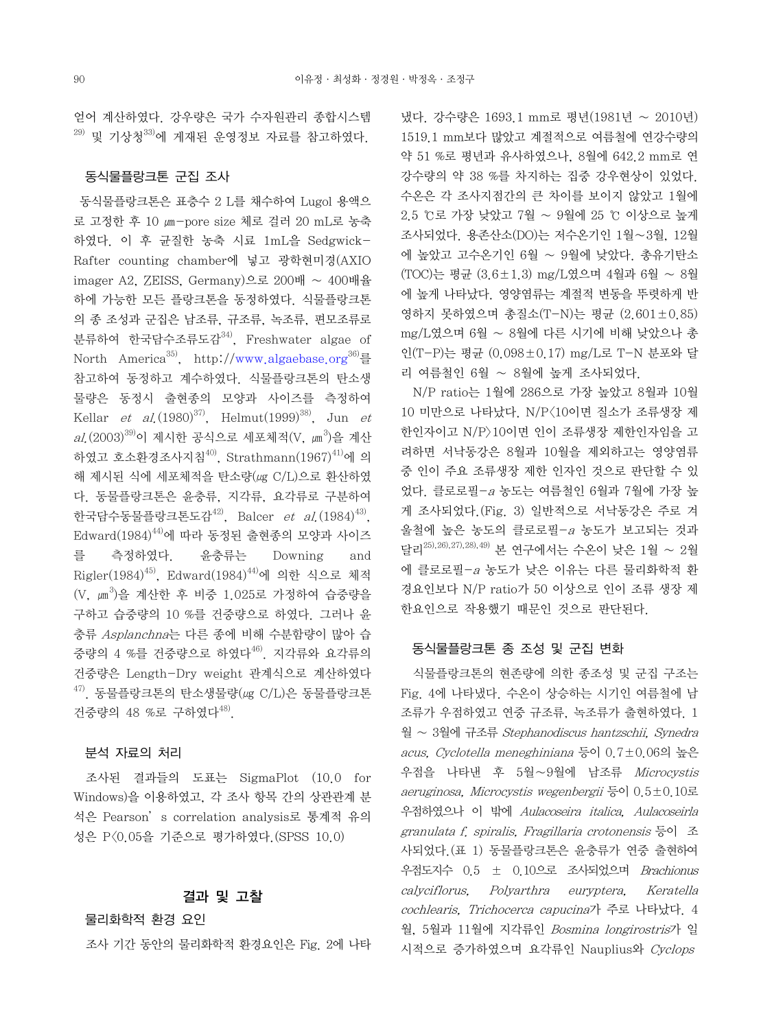얻어 계산하였다. 강우량은 국가 수자원관리 종합시스템  $^{29)}$  및 기상청 $^{33)}$ 에 게재된 우영정보 자료를 참고하였다.

## 동식물플랑크톤 군집 조사

 동식물플랑크톤은 표층수 2 L를 채수하여 Lugol 용액으 로 고정한 후 10 ㎛-pore size 체로 걸러 20 mL로 농축 하였다. 이 후 균질한 농축 시료 1mL을 Sedgwick-Rafter counting chamber에 넣고 광학현미경(AXIO imager A2, ZEISS, Germany)으로 200배 ∼ 400배율 하에 가능한 모든 플랑크톤을 동정하였다. 식물플랑크톤 의 종 조성과 군집은 남조류, 규조류, 녹조류, 편모조류로 분류하여 한국담수조류도감<sup>34)</sup>. Freshwater algae of North America<sup>35</sup>, http://www.algaebase.org<sup>36)</sup>를 참고하여 동정하고 계수하였다. 식물플랑크톤의 탄소생 물량은 동정시 출현종의 모양과 사이즈를 측정하여 Kellar et al.  $(1980)^{37}$ , Helmut $(1999)^{38}$ , Jun et al.(2003)<sup>39)</sup>이 제시한 공식으로 세포체적(V, μm<sup>3</sup>)을 계산 하였고 호소환경조사지침 $^{40)}$ , Strathmann $(1967)^{41}$ 에 의 해 제시된 식에 세포체적을 탄소량(㎍ C/L)으로 환산하였 다. 동물플랑크톤은 윤충류, 지각류, 요각류로 구분하여 한국담수동물플랑크톤도감<sup>42)</sup>, Balcer et al. (1984)<sup>43)</sup>,  $Edward(1984)^{44)}$ 에 따라 동정된 출현종의 모양과 사이즈 를 측정하였다. 윤충류는 Downing and  $Rigler(1984)^{45}$ , Edward $(1984)^{44}$ 에 의한 식으로 체적  $(V, \mu m^3)$ 을 계산한 후 비중 1.025로 가정하여 습중량을 구하고 습중량의 10 %를 건중량으로 하였다. 그러나 윤 충류 Asplanchna는 다른 종에 비해 수분함량이 많아 습 증량의 4 %를 건중량으로 하였다 $^{46)}$ . 지각류와 요각류의 건중량은 Length-Dry weight 관계식으로 계산하였다  $47$ ). 동물플랑크톤의 탄소생물량( $\mu$ g C/L)은 동물플랑크톤 건중량의 48 %로 구하였다48).

## 분석 자료의 처리

 조사된 결과들의 도표는 SigmaPlot (10.0 for Windows)을 이용하였고, 각 조사 항목 간의 상관관계 분 석은 Pearson's correlation analysis로 통계적 유의 성은 P<0.05을 기준으로 평가하였다.(SPSS 10.0)

## 결과 및 고찰

물리화학적 환경 요인

조사 기간 동안의 물리화학적 환경요인은 Fig. 2에 나타

냈다. 강수량은 1693.1 mm로 평년(1981년 ∼ 2010년) 1519.1 mm보다 많았고 계절적으로 여름철에 연강수량의 약 51 %로 평년과 유사하였으나, 8월에 642.2 mm로 연 강수량의 약 38 %를 차지하는 집중 강우현상이 있었다. 수온은 각 조사지점간의 큰 차이를 보이지 않았고 1월에 2.5 ℃로 가장 낮았고 7월 ∼ 9월에 25 ℃ 이상으로 높게 조사되었다. 용존산소(DO)는 저수온기인 1월∼3월, 12월 에 높았고 고수온기인 6월 ∼ 9월에 낮았다. 총유기탄소 (TOC)는 평균 (3.6±1.3) mg/L였으며 4월과 6월 ∼ 8월 에 높게 나타났다. 영양염류는 계절적 변동을 뚜렷하게 반 영하지 못하였으며 총질소(T-N)는 평균 (2.601±0.85) mg/L였으며 6월 ∼ 8월에 다른 시기에 비해 낮았으나 총 인(T-P)는 평균 (0.098±0.17) mg/L로 T-N 분포와 달 리 여름철인 6월 ∼ 8월에 높게 조사되었다.

 N/P ratio는 1월에 286으로 가장 높았고 8월과 10월 10 미만으로 나타났다. N/P<10이면 질소가 조류생장 제 한인자이고 N/P>10이면 인이 조류생장 제한인자임을 고 려하면 서낙동강은 8월과 10월을 제외하고는 영양염류 중 인이 주요 조류생장 제한 인자인 것으로 판단할 수 있 었다. 클로로필-a 농도는 여름철인 6월과 7월에 가장 높 게 조사되었다.(Fig. 3) 일반적으로 서낙동강은 주로 겨 울철에 높은 농도의 클로로필-a 농도가 보고되는 것과 달리25),26),27),28),49) 본 연구에서는 수온이 낮은 1월 ∼ 2월 에 클로로필-a 농도가 낮은 이유는 다른 물리화학적 환 경요인보다 N/P ratio가 50 이상으로 인이 조류 생장 제 한요인으로 작용했기 때문인 것으로 판단된다.

#### 동식물플랑크톤 종 조성 및 군집 변화

 식물플랑크톤의 현존량에 의한 종조성 및 군집 구조는 Fig. 4에 나타냈다. 수온이 상승하는 시기인 여름철에 남 조류가 우점하였고 연중 규조류, 녹조류가 출현하였다. 1 월 ~ 3월에 규조류 Stephanodiscus hantzschii, Synedra acus, Cyclotella meneghiniana 등이 0.7±0.06의 높은 우점을 나타낸 후 5월∼9월에 남조류 Microcystis aeruginosa, Microcystis wegenbergii 등이 0.5±0.10로 우점하였으나 이 밖에 Aulacoseira italica, Aulacoseirla granulata f. spiralis, Fragillaria crotonensis 등이 조 사되었다.(표 1) 동물플랑크톤은 윤충류가 연중 출현하여 우점도지수 0.5 ± 0.10으로 조사되었으며 Brachionus calyciflorus, Polyarthra euryptera, Keratella cochlearis, Trichocerca capucina가 주로 나타났다. 4 월, 5월과 11월에 지각류인 Bosmina longirostris가 일 시적으로 증가하였으며 요각류인 Nauplius와 Cyclops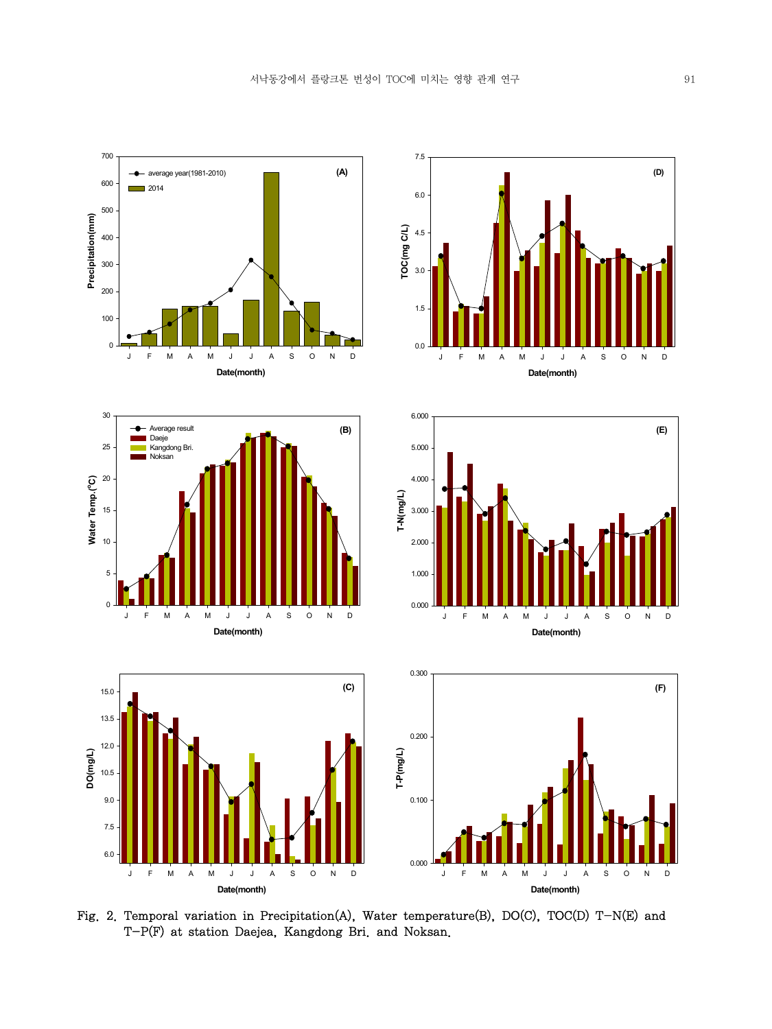

Fig. 2. Temporal variation in Precipitation(A), Water temperature(B), DO(C), TOC(D) T-N(E) and T-P(F) at station Daejea, Kangdong Bri. and Noksan.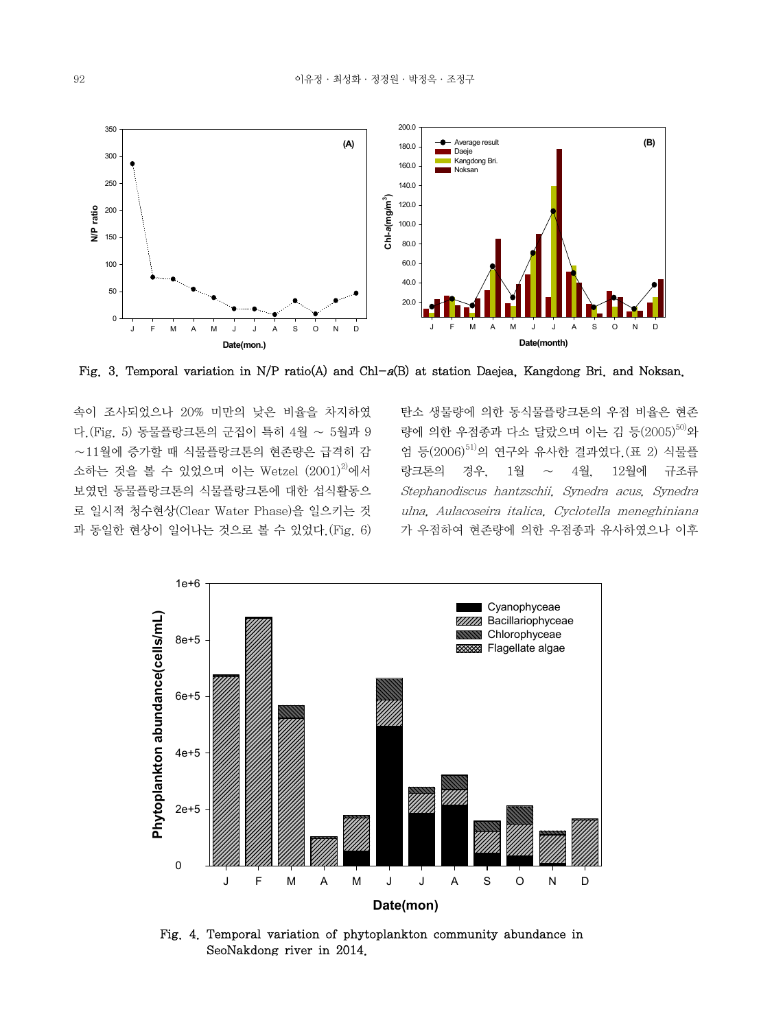

Fig. 3. Temporal variation in N/P ratio(A) and Chl-a(B) at station Daejea, Kangdong Bri. and Noksan.

속이 조사되었으나 20% 미만의 낮은 비율을 차지하였 다.(Fig. 5) 동물플랑크톤의 군집이 특히 4월 ∼ 5월과 9 ∼11월에 증가할 때 식물플랑크톤의 현존량은 급격히 감 소하는 것을 볼 수 있었으며 이는 Wetzel  $(2001)^{2}$ 에서 보였던 동물플랑크톤의 식물플랑크톤에 대한 섭식활동으 로 일시적 청수현상(Clear Water Phase)을 일으키는 것 과 동일한 현상이 일어나는 것으로 볼 수 있었다.(Fig. 6) 탄소 생물량에 의한 동식물플랑크톤의 우점 비율은 현존 량에 의한 우점종과 다소 달랐으며 이는 김 등(2005) $^{50)}$ 와 엄 등 $(2006)^{51}$ 의 연구와 유사한 결과였다. (표 2) 식물플 랑크톤의 경우, 1월 ∼ 4월, 12월에 규조류 Stephanodiscus hantzschii, Synedra acus, Synedra ulna, Aulacoseira italica, Cyclotella meneghiniana 가 우점하여 현존량에 의한 우점종과 유사하였으나 이후



Fig. 4. Temporal variation of phytoplankton community abundance in SeoNakdong river in 2014.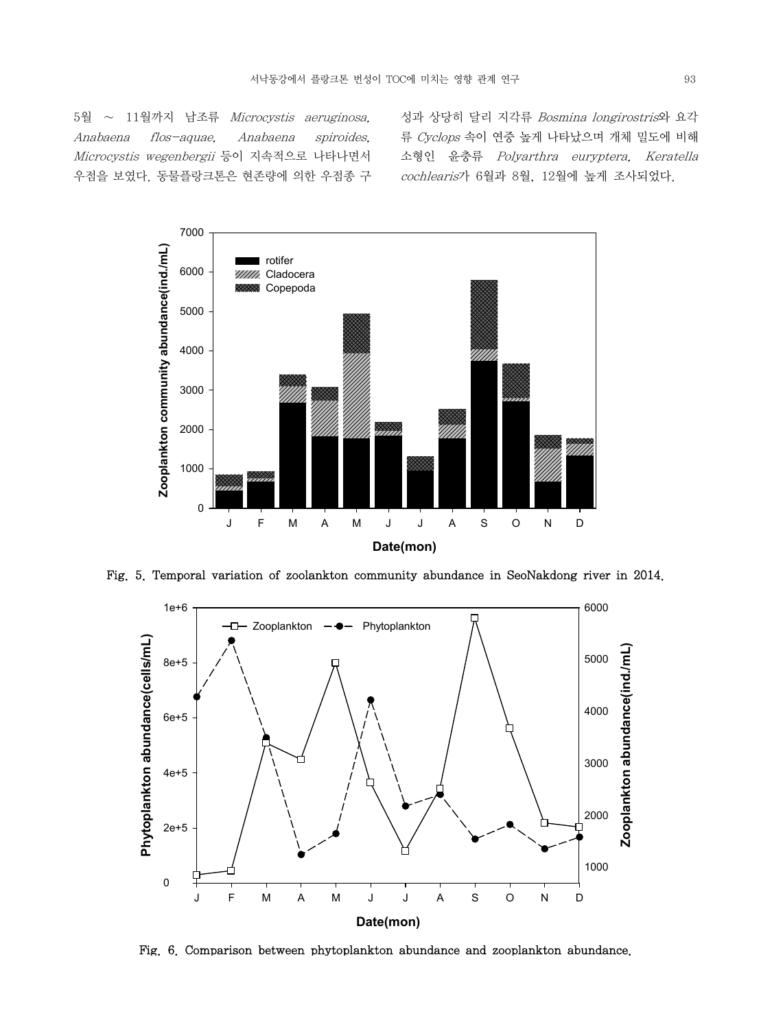5월 ∼ 11월까지 남조류 Microcystis aeruginosa, Anabaena flos-aquae, Anabaena spiroides, Microcystis wegenbergii 등이 지속적으로 나타나면서 우점을 보였다. 동물플랑크톤은 현존량에 의한 우점종 구

성과 상당히 달리 지각류 Bosmina longirostris와 요각 류 Cyclops 속이 연중 높게 나타났으며 개체 밀도에 비해 소형인 윤충류 Polyarthra euryptera, Keratella cochlearis가 6월과 8월, 12월에 높게 조사되었다.



Fig. 5. Temporal variation of zoolankton community abundance in SeoNakdong river in 2014.



Fig. 6. Comparison between phytoplankton abundance and zooplankton abundance.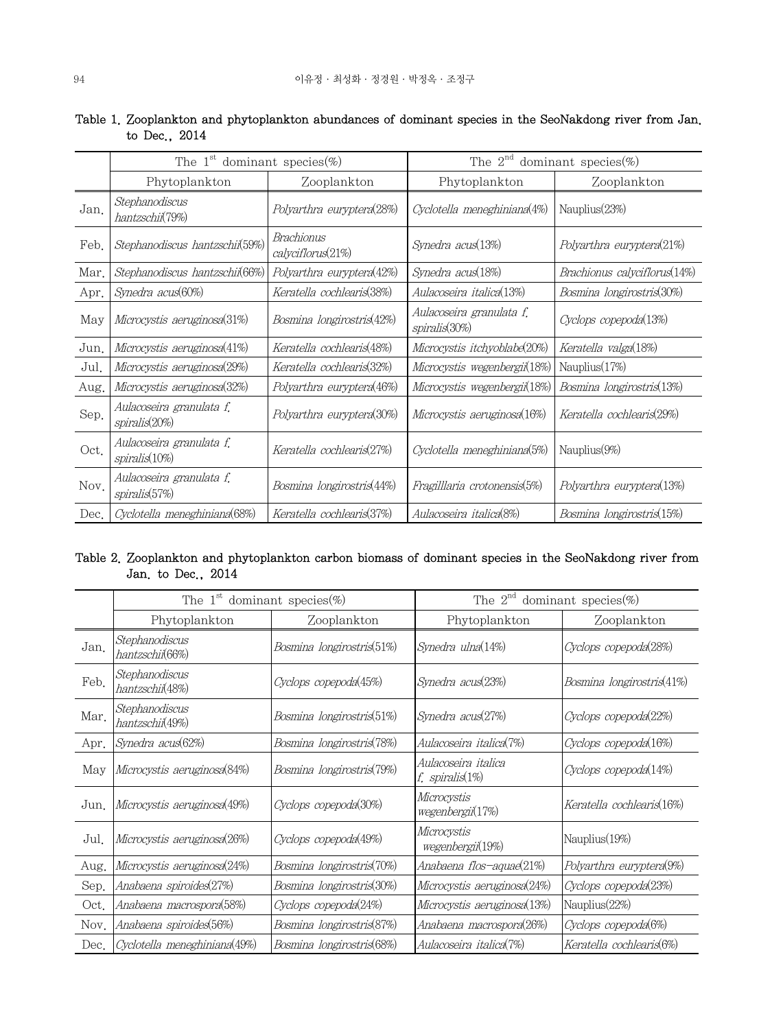|      | The 1 <sup>st</sup> dominant species $(\%)$ |                                 | The $2^{nd}$ dominant species $(\%)$      |                              |
|------|---------------------------------------------|---------------------------------|-------------------------------------------|------------------------------|
|      | Phytoplankton                               | Zooplankton                     | Phytoplankton                             | Zooplankton                  |
| Jan. | Stephanodiscus<br>hantzschii(79%)           | Polyarthra euryptera(28%)       | Cyclotella meneghiniana(4%)               | Nauplius (23%)               |
| Feb. | Stephanodiscus hantzschii(59%)              | Brachionus<br>calyciflorus(21%) | Synedra acus(13%)                         | Polyarthra euryptera(21%)    |
| Mar. | Stephanodiscus hantzschii(66%)              | Polyarthra euryptera(42%)       | Synedra acus(18%)                         | Brachionus calyciflorus(14%) |
| Apr. | Synedra acus(60%)                           | Keratella cochlearis(38%)       | Aulacoseira italica(13%)                  | Bosmina longirostris(30%)    |
| May  | Microcystis aeruginosa(31%)                 | Bosmina longirostris(42%)       | Aulacoseira granulata f.<br>spiralis(30%) | Cyclops copepoda(13%)        |
| Jun. | Microcystis aeruginosa(41%)                 | Keratella cochlearis(48%)       | Microcystis itchyoblabe(20%)              | Keratella valga(18%)         |
| Jul. | Microcystis aeruginosa(29%)                 | Keratella cochlearis(32%)       | Microcystis wegenbergii(18%)              | Nauplius $(17%)$             |
| Aug. | Microcystis aeruginosa(32%)                 | Polyarthra euryptera(46%)       | Microcystis wegenbergii(18%)              | Bosmina longirostris(13%)    |
| Sep. | Aulacoseira granulata f.<br>spiralis(20%)   | Polyarthra euryptera(30%)       | Microcystis aeruginosa(16%)               | Keratella cochlearis(29%)    |
| Oct. | Aulacoseira granulata f.<br>spiralis(10%)   | Keratella cochlearis(27%)       | Cyclotella meneghiniana(5%)               | Nauplius $(9\%)$             |
| Nov. | Aulacoseira granulata f.<br>spiralis(57%)   | Bosmina longirostris(44%)       | Fragilllaria crotonensis(5%)              | Polyarthra euryptera(13%)    |
| Dec. | Cyclotella meneghiniana(68%)                | Keratella cochlearis(37%)       | Aulacoseira italica(8%)                   | Bosmina longirostris(15%)    |

# Table 1. Zooplankton and phytoplankton abundances of dominant species in the SeoNakdong river from Jan. to Dec., 2014

# Table 2. Zooplankton and phytoplankton carbon biomass of dominant species in the SeoNakdong river from Jan. to Dec., 2014

|      | The 1 <sup>st</sup> dominant species $(\%)$ |                           | The $2^{nd}$ dominant species (%)      |                           |
|------|---------------------------------------------|---------------------------|----------------------------------------|---------------------------|
|      | Phytoplankton                               | Zooplankton               | Phytoplankton                          | Zooplankton               |
| Jan. | Stephanodiscus<br>hantzschii(66%)           | Bosmina longirostris(51%) | Synedra ulna(14%)                      | Cyclops copepoda(28%)     |
| Feb. | Stephanodiscus<br>hantzschii(48%)           | Cyclops copepoda(45%)     | Synedra acus(23%)                      | Bosmina longirostris(41%) |
| Mar. | Stephanodiscus<br>hantzschii(49%)           | Bosmina longirostris(51%) | Synedra acus(27%)                      | Cyclops copepoda(22%)     |
| Apr. | Synedra acus(62%)                           | Bosmina longirostris(78%) | Aulacoseira italica(7%)                | Cyclops copepoda(16%)     |
| May  | Microcystis aeruginosa(84%)                 | Bosmina longirostris(79%) | Aulacoseira italica<br>f. spiralis(1%) | Cyclops copepoda(14%)     |
| Jun. | Microcystis aeruginosa(49%)                 | Cyclops copepoda(30%)     | Microcystis<br>wegenbergii(17%)        | Keratella cochlearis(16%) |
| Jul. | Microcystis aeruginosa(26%)                 | Cyclops copepoda(49%)     | Microcystis<br>wegenbergii(19%)        | Nauplius(19%)             |
| Aug. | Microcystis aeruginosa(24%)                 | Bosmina longirostris(70%) | Anabaena flos—aquae(21%)               | Polyarthra euryptera(9%)  |
| Sep. | Anabaena spiroides(27%)                     | Bosmina longirostris(30%) | Microcystis aeruginosa(24%)            | Cyclops copepoda(23%)     |
| Oct. | Anabaena macrospora(58%)                    | Cyclops copepoda(24%)     | Microcystis aeruginosa(13%)            | Nauplius(22%)             |
| Nov. | Anabaena spiroides(56%)                     | Bosmina longirostris(87%) | Anabaena macrospora(26%)               | Cyclops copepoda(6%)      |
| Dec. | Cyclotella meneghiniana(49%)                | Bosmina longirostris(68%) | Aulacoseira italica(7%)                | Keratella cochlearis(6%)  |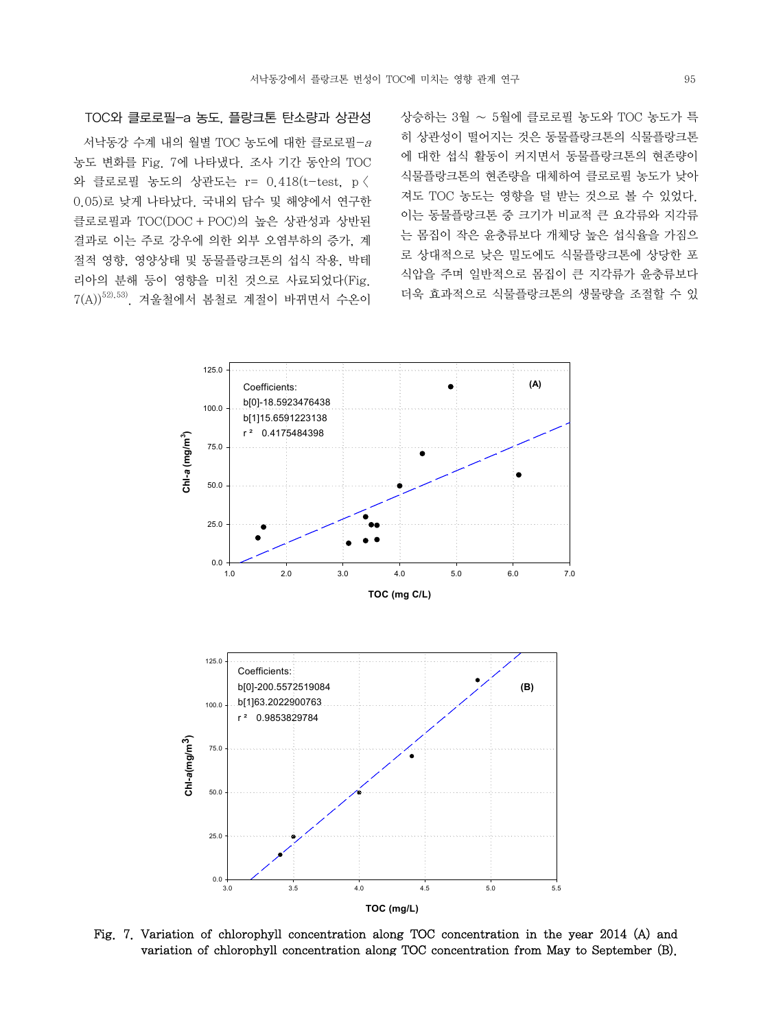서낙동강 수계 내의 월별 TOC 농도에 대한 클로로필-<sup>a</sup> 농도 변화를 Fig. 7에 나타냈다. 조사 기간 동안의 TOC 와 클로로필 농도의 상관도는 r= 0.418(t-test, p < 0.05)로 낮게 나타났다. 국내외 담수 및 해양에서 연구한 클로로필과 TOC(DOC + POC)의 높은 상관성과 상반된 결과로 이는 주로 강우에 의한 외부 오염부하의 증가, 계 절적 영향, 영양상태 및 동물플랑크톤의 섭식 작용, 박테 리아의 분해 등이 영향을 미친 것으로 사료되었다(Fig.

 $7(A))$  $^{52),53)}$ . 겨울철에서 봄철로 계절이 바뀌면서 수온이

TOC와 클로로필-a 농도, 플랑크톤 탄소량과 상관성

상승하는 3월 ∼ 5월에 클로로필 농도와 TOC 농도가 특 히 상관성이 떨어지는 것은 동물플랑크톤의 식물플랑크톤 에 대한 섭식 활동이 커지면서 동물플랑크톤의 현존량이 식물플랑크톤의 현존량을 대체하여 클로로필 농도가 낮아 져도 TOC 농도는 영향을 덜 받는 것으로 볼 수 있었다. 이는 동물플랑크톤 중 크기가 비교적 큰 요각류와 지각류 는 몸집이 작은 윤충류보다 개체당 높은 섭식율을 가짐으 로 상대적으로 낮은 밀도에도 식물플랑크톤에 상당한 포 식압을 주며 일반적으로 몸집이 큰 지각류가 윤충류보다 더욱 효과적으로 식물플랑크톤의 생물량을 조절할 수 있



Fig. 7. Variation of chlorophyll concentration along TOC concentration in the year 2014 (A) and variation of chlorophyll concentration along TOC concentration from May to September (B).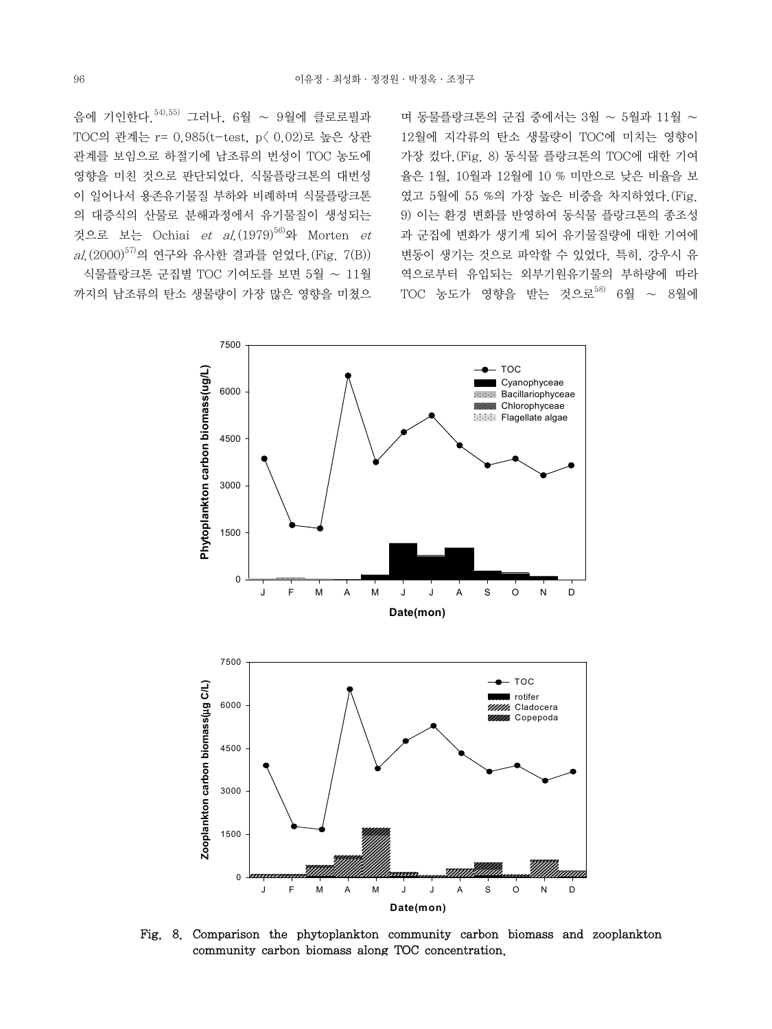음에 기인한다.54),55) 그러나, 6월 ∼ 9월에 클로로필과 TOC의 관계는 r= 0.985(t-test, p< 0.02)로 높은 상관 관계를 보임으로 하절기에 남조류의 번성이 TOC 농도에 영향을 미친 것으로 판단되었다. 식물플랑크톤의 대번성 이 일어나서 용존유기물질 부하와 비례하며 식물플랑크톤 의 대증식의 산물로 분해과정에서 유기물질이 생성되는 것으로 보는 Ochiai et al.  $(1979)^{56}$ 와 Morten et  $al.$  (2000)<sup>57)</sup>의 연구와 유사한 결과를 얻었다. (Fig. 7(B)) 식물플랑크톤 군집별 TOC 기여도를 보면 5월 ∼ 11월 까지의 남조류의 탄소 생물량이 가장 많은 영향을 미쳤으

며 동물플랑크톤의 군집 중에서는 3월 ∼ 5월과 11월 ∼ 12월에 지각류의 탄소 생물량이 TOC에 미치는 영향이 가장 컸다.(Fig. 8) 동식물 플랑크톤의 TOC에 대한 기여 율은 1월, 10월과 12월에 10 % 미만으로 낮은 비율을 보 였고 5월에 55 %의 가장 높은 비중을 차지하였다.(Fig. 9) 이는 환경 변화를 반영하여 동식물 플랑크톤의 종조성 과 군집에 변화가 생기게 되어 유기물질량에 대한 기여에 변동이 생기는 것으로 파악할 수 있었다. 특히, 강우시 유 역으로부터 유입되는 외부기원유기물의 부하량에 따라 TOC 농도가 영향을 받는 것으로<sup>58)</sup> 6월 ~ 8월에



Fig. 8. Comparison the phytoplankton community carbon biomass and zooplankton community carbon biomass along TOC concentration.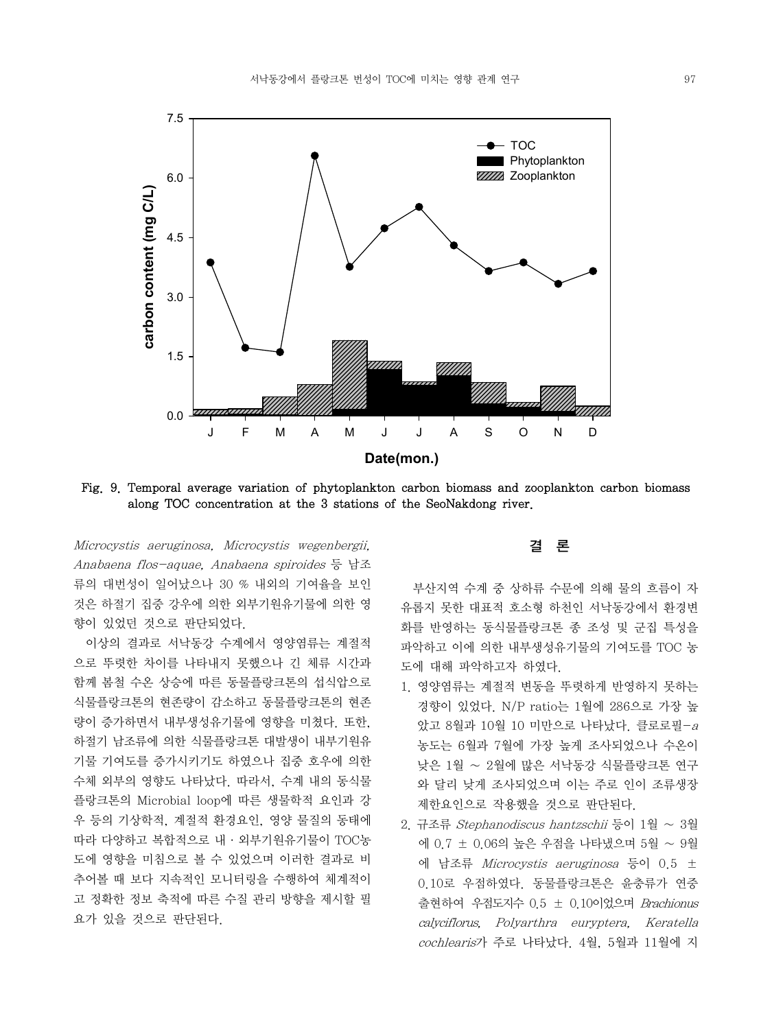

Fig. 9. Temporal average variation of phytoplankton carbon biomass and zooplankton carbon biomass along TOC concentration at the 3 stations of the SeoNakdong river.

Microcystis aeruginosa, Microcystis wegenbergii, Anabaena flos-aquae, Anabaena spiroides 등 남조 류의 대번성이 일어났으나 30 % 내외의 기여율을 보인 것은 하절기 집중 강우에 의한 외부기원유기물에 의한 영 향이 있었던 것으로 판단되었다.

 이상의 결과로 서낙동강 수계에서 영양염류는 계절적 으로 뚜렷한 차이를 나타내지 못했으나 긴 체류 시간과 함께 봄철 수온 상승에 따른 동물플랑크톤의 섭식압으로 식물플랑크톤의 현존량이 감소하고 동물플랑크톤의 현존 량이 증가하면서 내부생성유기물에 영향을 미쳤다. 또한, 하절기 남조류에 의한 식물플랑크톤 대발생이 내부기원유 기물 기여도를 증가시키기도 하였으나 집중 호우에 의한 수체 외부의 영향도 나타났다. 따라서, 수계 내의 동식물 플랑크톤의 Microbial loop에 따른 생물학적 요인과 강 우 등의 기상학적, 계절적 환경요인, 영양 물질의 동태에 따라 다양하고 복합적으로 내·외부기원유기물이 TOC농 도에 영향을 미침으로 볼 수 있었으며 이러한 결과로 비 추어볼 때 보다 지속적인 모니터링을 수행하여 체계적이 고 정확한 정보 축적에 따른 수질 관리 방향을 제시할 필 요가 있을 것으로 판단된다.

## 결 론

 부산지역 수계 중 상하류 수문에 의해 물의 흐름이 자 유롭지 못한 대표적 호소형 하천인 서낙동강에서 환경변 화를 반영하는 동식물플랑크톤 종 조성 및 군집 특성을 파악하고 이에 의한 내부생성유기물의 기여도를 TOC 농 도에 대해 파악하고자 하였다.

- 1. 영양염류는 계절적 변동을 뚜렷하게 반영하지 못하는 경향이 있었다. N/P ratio는 1월에 286으로 가장 높 았고 8월과 10월 10 미만으로 나타났다. 클로로필-<sup>a</sup> 농도는 6월과 7월에 가장 높게 조사되었으나 수온이 낮은 1월 ∼ 2월에 많은 서낙동강 식물플랑크톤 연구 와 달리 낮게 조사되었으며 이는 주로 인이 조류생장 제한요인으로 작용했을 것으로 판단된다.
- 2. 규조류 Stephanodiscus hantzschii 등이 1월 ∼ 3월 에 0.7 ± 0.06의 높은 우점을 나타냈으며 5월 ∼ 9월 에 남조류 Microcystis aeruginosa 등이 0.5 ± 0.10로 우점하였다. 동물플랑크톤은 윤충류가 연중 출현하여 우점도지수 0.5 ± 0.10이었으며 Brachionus calyciflorus, Polyarthra euryptera, Keratella cochlearis가 주로 나타났다. 4월, 5월과 11월에 지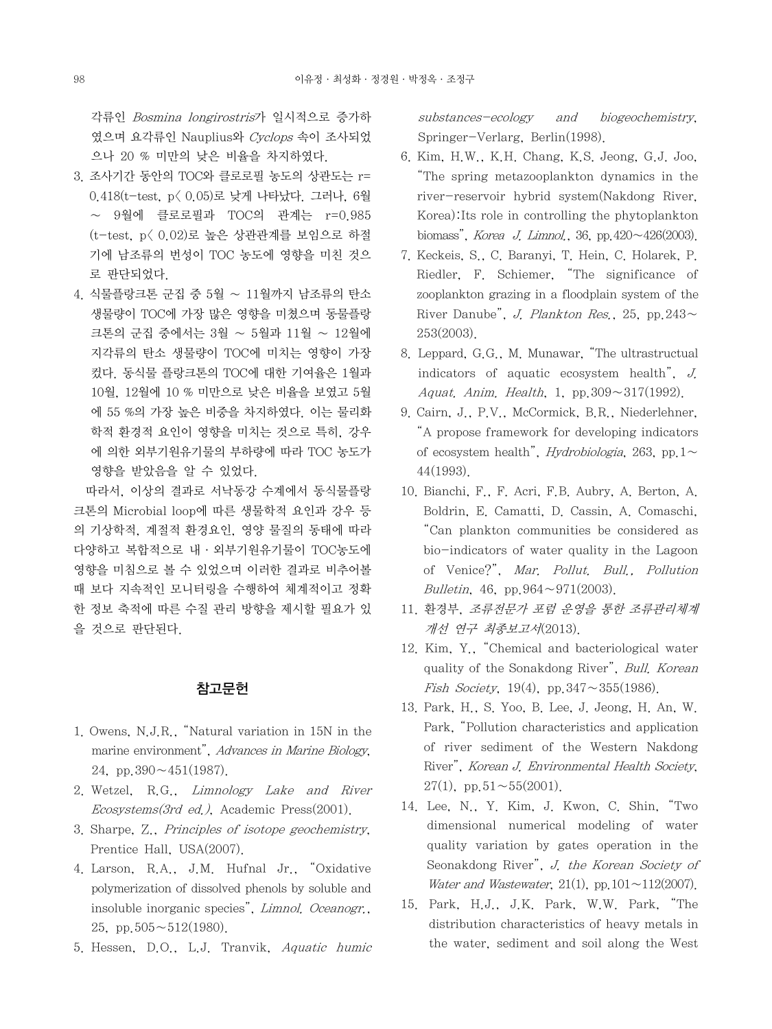각류인 Bosmina longirostris가 일시적으로 증가하 였으며 요각류인 Nauplius와 Cyclops 속이 조사되었 으나 20 % 미만의 낮은 비율을 차지하였다.

- 3. 조사기간 동안의 TOC와 클로로필 농도의 상관도는 r= 0.418(t-test, p< 0.05)로 낮게 나타났다. 그러나, 6월 ∼ 9월에 클로로필과 TOC의 관계는 r=0.985 (t-test, p< 0.02)로 높은 상관관계를 보임으로 하절 기에 남조류의 번성이 TOC 농도에 영향을 미친 것으 로 판단되었다.
- 4. 식물플랑크톤 군집 중 5월 ∼ 11월까지 남조류의 탄소 생물량이 TOC에 가장 많은 영향을 미쳤으며 동물플랑 크톤의 군집 중에서는 3월 ∼ 5월과 11월 ∼ 12월에 지각류의 탄소 생물량이 TOC에 미치는 영향이 가장 컸다. 동식물 플랑크톤의 TOC에 대한 기여율은 1월과 10월, 12월에 10 % 미만으로 낮은 비율을 보였고 5월 에 55 %의 가장 높은 비중을 차지하였다. 이는 물리화 학적 환경적 요인이 영향을 미치는 것으로 특히, 강우 에 의한 외부기원유기물의 부하량에 따라 TOC 농도가 영향을 받았음을 알 수 있었다.

 따라서, 이상의 결과로 서낙동강 수계에서 동식물플랑 크톤의 Microbial loop에 따른 생물학적 요인과 강우 등 의 기상학적, 계절적 환경요인, 영양 물질의 동태에 따라 다양하고 복합적으로 내·외부기원유기물이 TOC농도에 영향을 미침으로 볼 수 있었으며 이러한 결과로 비추어볼 때 보다 지속적인 모니터링을 수행하여 체계적이고 정확 한 정보 축적에 따른 수질 관리 방향을 제시할 필요가 있 을 것으로 판단된다.

# 참고문헌

- 1. Owens, N.J.R., "Natural variation in 15N in the marine environment", Advances in Marine Biology, 24, pp. $390 \sim 451(1987)$ .
- 2. Wetzel, R.G., Limnology Lake and River  $E \text{cosystems} (3rd \text{ ed.}),$  Academic Press $(2001).$
- 3. Sharpe, Z., Principles of isotope geochemistry, Prentice Hall, USA(2007).
- 4. Larson, R.A., J.M. Hufnal Jr., "Oxidative polymerization of dissolved phenols by soluble and insoluble inorganic species", Limnol. Oceanogr., 25, pp. $505 \sim 512(1980)$ .
- 5. Hessen, D.O., L.J. Tranvik, Aquatic humic

substances-ecology and biogeochemistry, Springer-Verlarg, Berlin(1998).

- 6. Kim, H.W., K.H. Chang, K.S. Jeong, G.J. Joo, "The spring metazooplankton dynamics in the river-reservoir hybrid system(Nakdong River, Korea):Its role in controlling the phytoplankton biomass", Korea J. Limnol., 36, pp.420∼426(2003).
- 7. Keckeis, S., C. Baranyi, T. Hein, C. Holarek, P. Riedler, F. Schiemer, "The significance of zooplankton grazing in a floodplain system of the River Danube", J. Plankton Res., 25, pp.243∼ 253(2003).
- 8. Leppard, G.G., M. Munawar, "The ultrastructual indicators of aquatic ecosystem health", J. Aquat. Anim. Health, 1, pp.309∼317(1992).
- 9. Cairn, J., P.V., McCormick, B.R., Niederlehner, "A propose framework for developing indicators of ecosystem health", *Hydrobiologia*, 263, pp.1∼ 44(1993).
- 10. Bianchi, F., F. Acri, F.B. Aubry, A. Berton, A. Boldrin, E. Camatti, D. Cassin, A. Comaschi, "Can plankton communities be considered as bio-indicators of water quality in the Lagoon of Venice?", Mar. Pollut. Bull., Pollution Bulletin, 46, pp.964∼971(2003).
- 11. 환경부, 조류전문가 포럼 운영을 통한 조류관리체계 개선 연구 최종보고서(2013).
- 12. Kim, Y., "Chemical and bacteriological water quality of the Sonakdong River", Bull. Korean Fish Society, 19(4), pp.347∼355(1986).
- 13. Park, H., S. Yoo, B. Lee, J. Jeong, H. An, W. Park, "Pollution characteristics and application of river sediment of the Western Nakdong River", Korean J. Environmental Health Society, 27(1), pp.51∼55(2001).
- 14. Lee, N., Y. Kim, J. Kwon, C. Shin, "Two dimensional numerical modeling of water quality variation by gates operation in the Seonakdong River", J. the Korean Society of Water and Wastewater, 21(1), pp.101∼112(2007).
- 15. Park, H.J., J.K. Park, W.W. Park, "The distribution characteristics of heavy metals in the water, sediment and soil along the West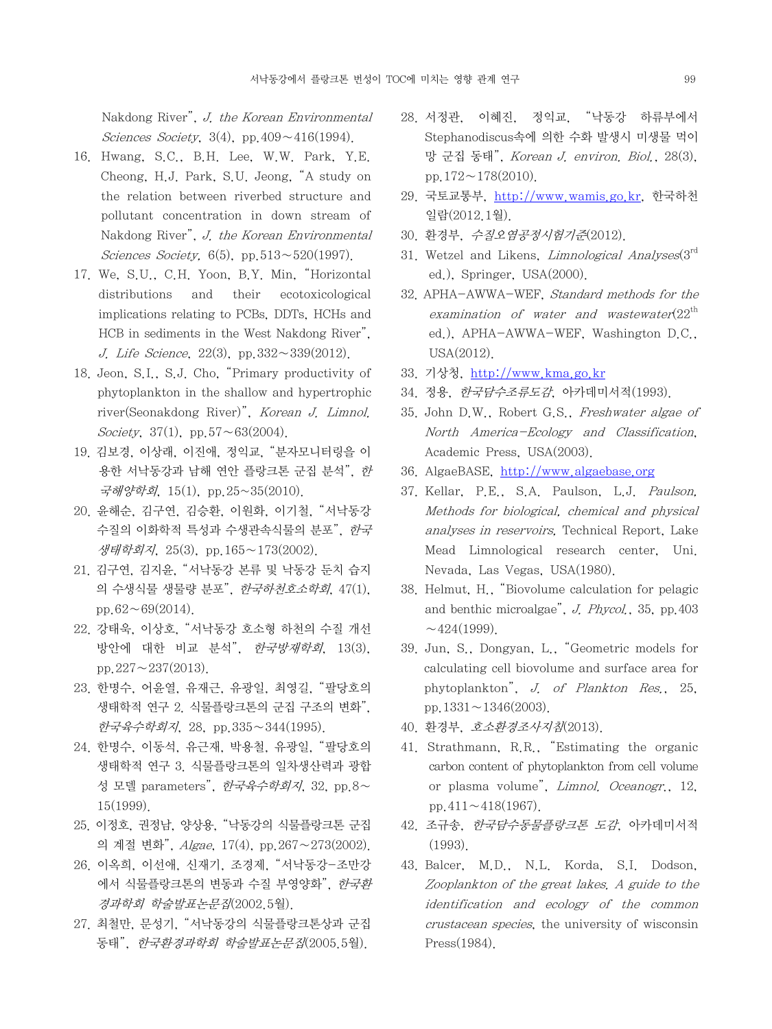Nakdong River", J. the Korean Environmental Sciences Society, 3(4), pp.409∼416(1994).

- 16. Hwang, S.C., B.H. Lee, W.W. Park, Y.E. Cheong, H.J. Park, S.U. Jeong, "A study on the relation between riverbed structure and pollutant concentration in down stream of Nakdong River", J. the Korean Environmental Sciences Society, 6(5), pp.513∼520(1997).
- 17. We, S.U., C.H. Yoon, B.Y. Min, "Horizontal distributions and their ecotoxicological implications relating to PCBs, DDTs, HCHs and HCB in sediments in the West Nakdong River", J. Life Science, 22(3), pp.332∼339(2012).
- 18. Jeon, S.I., S.J. Cho, "Primary productivity of phytoplankton in the shallow and hypertrophic river(Seonakdong River)", Korean J. Limnol. Society, 37(1), pp.57∼63(2004).
- 19. 김보경, 이상래, 이진애, 정익교, "분자모니터링을 이 용한 서낙동강과 남해 연안 플랑크톤 군집 분석", 한 국해양학회, 15(1), pp.25~35(2010).
- 20. 윤해순, 김구연, 김승환, 이원화, 이기철, "서낙동강 수질의 이화학적 특성과 수생관속식물의 분포", 한국 생태학회지, 25(3), pp.165∼173(2002).
- 21. 김구연, 김지윤, "서낙동강 본류 및 낙동강 둔치 습지 의 수생식물 생물량 분포", 한국하천호소학회, 47(1), pp.62∼69(2014).
- 22. 강태욱, 이상호, "서낙동강 호소형 하천의 수질 개선 방안에 대한 비교 분석", 한국방재학회, 13(3), pp.227∼237(2013).
- 23. 한명수, 어윤열, 유재근, 유광일, 최영길, "팔당호의 생태학적 연구 2. 식물플랑크톤의 군집 구조의 변화", 한국육수학회지, 28, pp.335∼344(1995).
- 24. 한명수, 이동석, 유근재, 박용철, 유광일, "팔당호의 생태학적 연구 3. 식물플랑크톤의 일차생산력과 광합 성 모델 parameters", 한국육수학회지, 32, pp.8∼ 15(1999).
- 25. 이정호, 권정남, 양상용, "낙동강의 식물플랑크톤 군집 의 계절 변화", Algae, 17(4), pp.267∼273(2002).
- 26. 이옥희, 이선애, 신재기, 조경제, "서낙동강-조만강 에서 식물플랑크톤의 변동과 수질 부영양화", 한국환 경과학회 학술발표논문집(2002.5월).
- 27. 최철만, 문성기, "서낙동강의 식물플랑크톤상과 군집 동태", 한국환경과학회 학술발표논문집(2005.5월).
- 28. 서정관, 이혜진, 정익교, "낙동강 하류부에서 Stephanodiscus속에 의한 수화 발생시 미생물 먹이 망 군집 동태", Korean J. environ. Biol., 28(3), pp.172∼178(2010).
- 29. 국토교통부, http://www.wamis.go.kr, 한국하천 일람(2012.1월).
- 30. 환경부, 수질오염공정시험기준(2012).
- 31. Wetzel and Likens, *Limnological Analyses* $(3<sup>rd</sup>)$ ed.), Springer, USA(2000).
- 32. APHA-AWWA-WEF, Standard methods for the examination of water and wastewater $(22^{th}$ ed.), APHA-AWWA-WEF, Washington D.C., USA(2012).
- 33. 기상청, http://www.kma.go.kr
- 34. 정용, 한국담수조류도감, 아카데미서적(1993).
- 35. John D.W., Robert G.S., Freshwater algae of North America-Ecology and Classification, Academic Press, USA(2003).
- 36. AlgaeBASE, http://www.algaebase.org
- 37. Kellar, P.E., S.A. Paulson, L.J. Paulson, Methods for biological, chemical and physical analyses in reservoirs, Technical Report, Lake Mead Limnological research center, Uni. Nevada, Las Vegas, USA(1980).
- 38. Helmut, H., "Biovolume calculation for pelagic and benthic microalgae", J. Phycol., 35, pp.403  $~\sim$ 424(1999).
- 39. Jun, S., Dongyan, L., "Geometric models for calculating cell biovolume and surface area for phytoplankton", J. of Plankton Res., 25, pp.1331∼1346(2003).
- 40. 환경부, 호소환경조사지침(2013).
- 41. Strathmann, R.R., "Estimating the organic carbon content of phytoplankton from cell volume or plasma volume", Limnol. Oceanogr., 12, pp.411∼418(1967).
- 42. 조규송, 한국담수동물플랑크톤 도감, 아카데미서적 (1993).
- 43. Balcer, M.D., N.L. Korda, S.I. Dodson, Zooplankton of the great lakes. A guide to the identification and ecology of the common crustacean species, the university of wisconsin Press(1984).